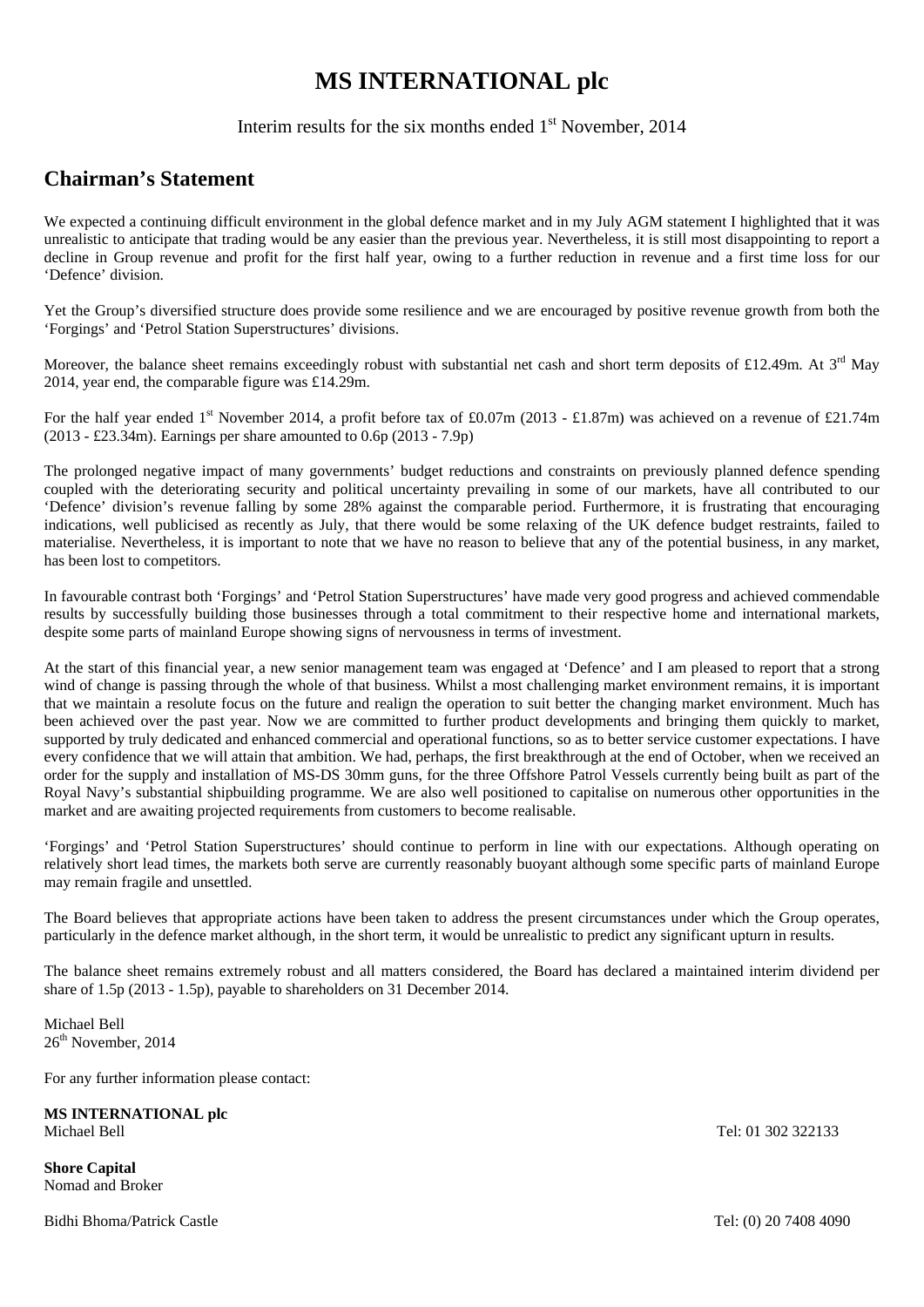### **MS INTERNATIONAL plc**

Interim results for the six months ended  $1<sup>st</sup>$  November, 2014

### **Chairman's Statement**

We expected a continuing difficult environment in the global defence market and in my July AGM statement I highlighted that it was unrealistic to anticipate that trading would be any easier than the previous year. Nevertheless, it is still most disappointing to report a decline in Group revenue and profit for the first half year, owing to a further reduction in revenue and a first time loss for our 'Defence' division.

Yet the Group's diversified structure does provide some resilience and we are encouraged by positive revenue growth from both the 'Forgings' and 'Petrol Station Superstructures' divisions.

Moreover, the balance sheet remains exceedingly robust with substantial net cash and short term deposits of £12.49m. At 3<sup>rd</sup> May 2014, year end, the comparable figure was £14.29m.

For the half year ended 1st November 2014, a profit before tax of £0.07m (2013 - £1.87m) was achieved on a revenue of £21.74m (2013 - £23.34m). Earnings per share amounted to 0.6p (2013 - 7.9p)

The prolonged negative impact of many governments' budget reductions and constraints on previously planned defence spending coupled with the deteriorating security and political uncertainty prevailing in some of our markets, have all contributed to our 'Defence' division's revenue falling by some 28% against the comparable period. Furthermore, it is frustrating that encouraging indications, well publicised as recently as July, that there would be some relaxing of the UK defence budget restraints, failed to materialise. Nevertheless, it is important to note that we have no reason to believe that any of the potential business, in any market, has been lost to competitors.

In favourable contrast both 'Forgings' and 'Petrol Station Superstructures' have made very good progress and achieved commendable results by successfully building those businesses through a total commitment to their respective home and international markets, despite some parts of mainland Europe showing signs of nervousness in terms of investment.

At the start of this financial year, a new senior management team was engaged at 'Defence' and I am pleased to report that a strong wind of change is passing through the whole of that business. Whilst a most challenging market environment remains, it is important that we maintain a resolute focus on the future and realign the operation to suit better the changing market environment. Much has been achieved over the past year. Now we are committed to further product developments and bringing them quickly to market, supported by truly dedicated and enhanced commercial and operational functions, so as to better service customer expectations. I have every confidence that we will attain that ambition. We had, perhaps, the first breakthrough at the end of October, when we received an order for the supply and installation of MS-DS 30mm guns, for the three Offshore Patrol Vessels currently being built as part of the Royal Navy's substantial shipbuilding programme. We are also well positioned to capitalise on numerous other opportunities in the market and are awaiting projected requirements from customers to become realisable.

'Forgings' and 'Petrol Station Superstructures' should continue to perform in line with our expectations. Although operating on relatively short lead times, the markets both serve are currently reasonably buoyant although some specific parts of mainland Europe may remain fragile and unsettled.

The Board believes that appropriate actions have been taken to address the present circumstances under which the Group operates, particularly in the defence market although, in the short term, it would be unrealistic to predict any significant upturn in results.

The balance sheet remains extremely robust and all matters considered, the Board has declared a maintained interim dividend per share of 1.5p (2013 - 1.5p), payable to shareholders on 31 December 2014.

Michael Bell  $26<sup>th</sup>$  November, 2014

For any further information please contact:

**MS INTERNATIONAL plc**  Michael Bell **Tel:** 01 302 322133

**Shore Capital**  Nomad and Broker

Bidhi Bhoma/Patrick Castle Tel: (0) 20 7408 4090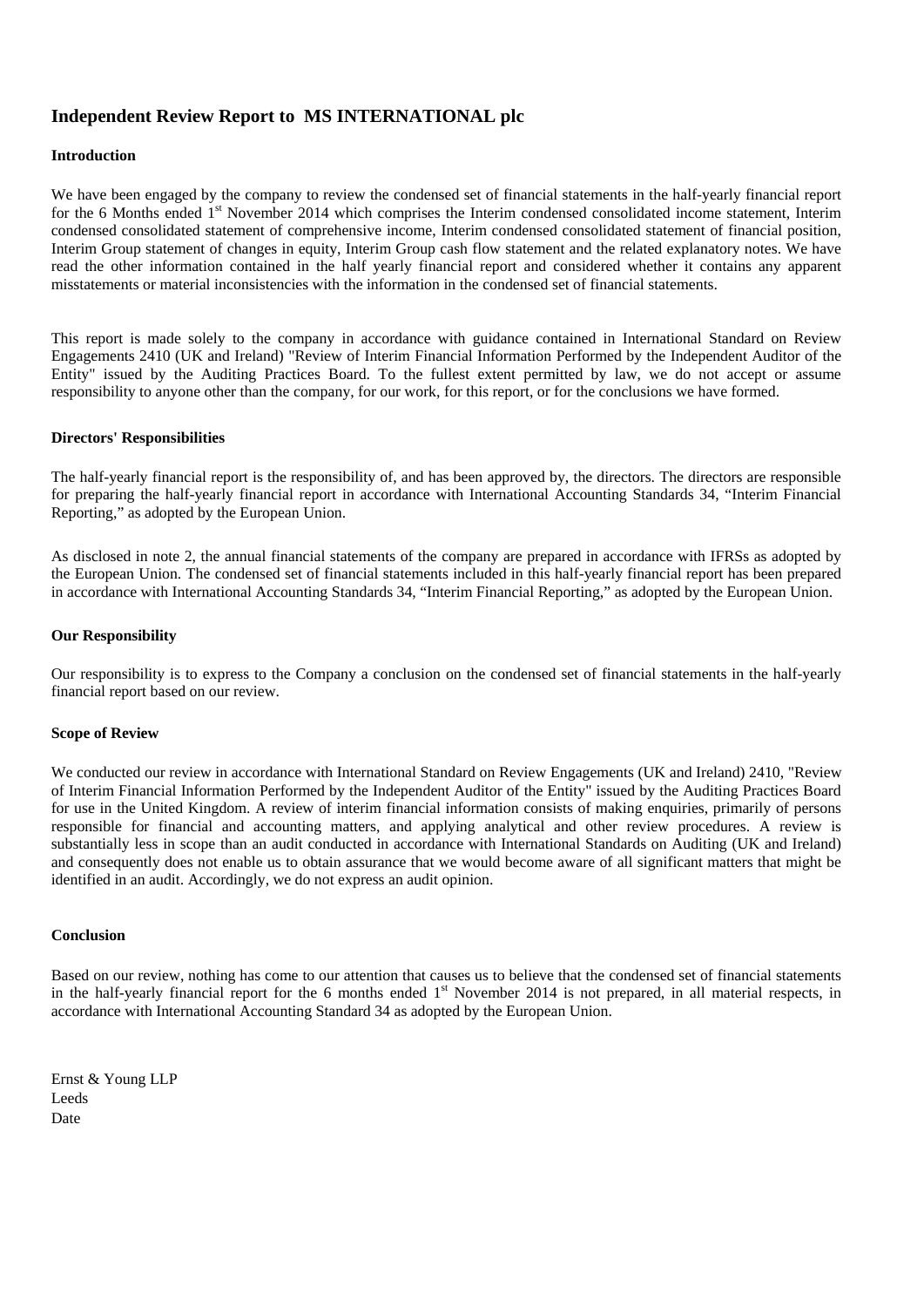### **Independent Review Report to MS INTERNATIONAL plc**

#### **Introduction**

We have been engaged by the company to review the condensed set of financial statements in the half-yearly financial report for the 6 Months ended 1<sup>st</sup> November 2014 which comprises the Interim condensed consolidated income statement, Interim condensed consolidated statement of comprehensive income, Interim condensed consolidated statement of financial position, Interim Group statement of changes in equity, Interim Group cash flow statement and the related explanatory notes. We have read the other information contained in the half yearly financial report and considered whether it contains any apparent misstatements or material inconsistencies with the information in the condensed set of financial statements.

This report is made solely to the company in accordance with guidance contained in International Standard on Review Engagements 2410 (UK and Ireland) "Review of Interim Financial Information Performed by the Independent Auditor of the Entity" issued by the Auditing Practices Board. To the fullest extent permitted by law, we do not accept or assume responsibility to anyone other than the company, for our work, for this report, or for the conclusions we have formed.

#### **Directors' Responsibilities**

The half-yearly financial report is the responsibility of, and has been approved by, the directors. The directors are responsible for preparing the half-yearly financial report in accordance with International Accounting Standards 34, "Interim Financial Reporting," as adopted by the European Union.

As disclosed in note 2, the annual financial statements of the company are prepared in accordance with IFRSs as adopted by the European Union. The condensed set of financial statements included in this half-yearly financial report has been prepared in accordance with International Accounting Standards 34, "Interim Financial Reporting," as adopted by the European Union.

#### **Our Responsibility**

Our responsibility is to express to the Company a conclusion on the condensed set of financial statements in the half-yearly financial report based on our review.

#### **Scope of Review**

We conducted our review in accordance with International Standard on Review Engagements (UK and Ireland) 2410, "Review of Interim Financial Information Performed by the Independent Auditor of the Entity" issued by the Auditing Practices Board for use in the United Kingdom. A review of interim financial information consists of making enquiries, primarily of persons responsible for financial and accounting matters, and applying analytical and other review procedures. A review is substantially less in scope than an audit conducted in accordance with International Standards on Auditing (UK and Ireland) and consequently does not enable us to obtain assurance that we would become aware of all significant matters that might be identified in an audit. Accordingly, we do not express an audit opinion.

#### **Conclusion**

Based on our review, nothing has come to our attention that causes us to believe that the condensed set of financial statements in the half-yearly financial report for the 6 months ended  $1<sup>st</sup>$  November 2014 is not prepared, in all material respects, in accordance with International Accounting Standard 34 as adopted by the European Union.

Ernst & Young LLP Leeds Date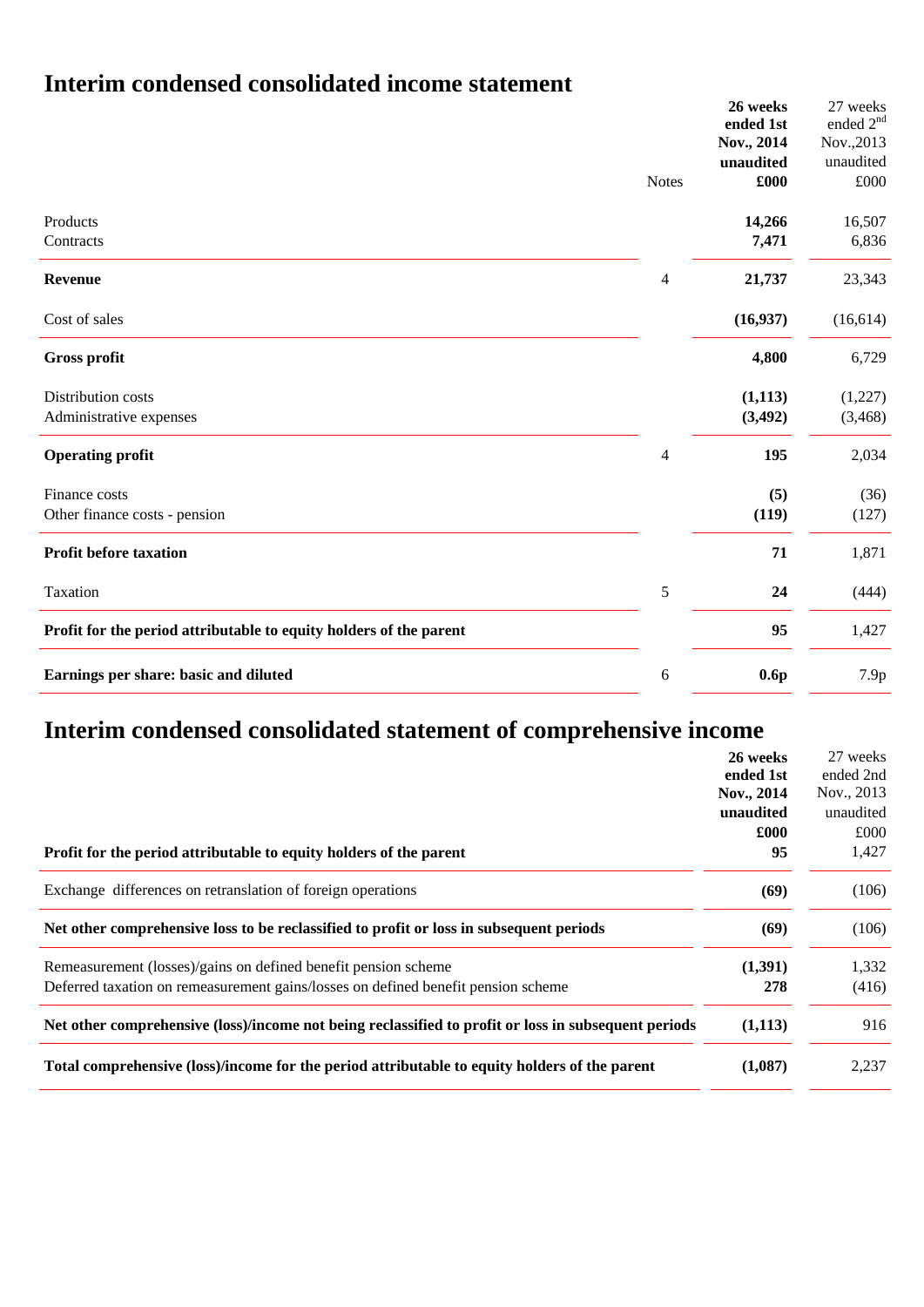## **Interim condensed consolidated income statement**

|                                                                    | <b>Notes</b>   | 26 weeks<br>ended 1st<br>Nov., 2014<br>unaudited<br>£000 | 27 weeks<br>ended 2 <sup>nd</sup><br>Nov., 2013<br>unaudited<br>$\pounds000$ |
|--------------------------------------------------------------------|----------------|----------------------------------------------------------|------------------------------------------------------------------------------|
|                                                                    |                |                                                          |                                                                              |
| Products                                                           |                | 14,266                                                   | 16,507                                                                       |
| Contracts                                                          |                | 7,471                                                    | 6,836                                                                        |
| <b>Revenue</b>                                                     | $\overline{4}$ | 21,737                                                   | 23,343                                                                       |
| Cost of sales                                                      |                | (16,937)                                                 | (16,614)                                                                     |
| <b>Gross profit</b>                                                |                | 4,800                                                    | 6,729                                                                        |
| Distribution costs                                                 |                | (1, 113)                                                 | (1,227)                                                                      |
| Administrative expenses                                            |                | (3, 492)                                                 | (3,468)                                                                      |
| <b>Operating profit</b>                                            | $\overline{4}$ | 195                                                      | 2,034                                                                        |
| Finance costs                                                      |                | (5)                                                      | (36)                                                                         |
| Other finance costs - pension                                      |                | (119)                                                    | (127)                                                                        |
| <b>Profit before taxation</b>                                      |                | 71                                                       | 1,871                                                                        |
| Taxation                                                           | 5              | 24                                                       | (444)                                                                        |
| Profit for the period attributable to equity holders of the parent |                | 95                                                       | 1,427                                                                        |
| Earnings per share: basic and diluted                              | 6              | 0.6p                                                     | 7.9p                                                                         |

## **Interim condensed consolidated statement of comprehensive income**

|                                                                                                      | 26 weeks   | 27 weeks   |
|------------------------------------------------------------------------------------------------------|------------|------------|
|                                                                                                      | ended 1st  | ended 2nd  |
|                                                                                                      | Nov., 2014 | Nov., 2013 |
|                                                                                                      | unaudited  | unaudited  |
|                                                                                                      | £000       | £000       |
| Profit for the period attributable to equity holders of the parent                                   | 95         | 1,427      |
| Exchange differences on retranslation of foreign operations                                          | (69)       | (106)      |
| Net other comprehensive loss to be reclassified to profit or loss in subsequent periods              | (69)       | (106)      |
| Remeasurement (losses)/gains on defined benefit pension scheme                                       | (1,391)    | 1,332      |
| Deferred taxation on remeasurement gains/losses on defined benefit pension scheme                    | 278        | (416)      |
| Net other comprehensive (loss)/income not being reclassified to profit or loss in subsequent periods | (1,113)    | 916        |
| Total comprehensive (loss)/income for the period attributable to equity holders of the parent        | (1,087)    | 2,237      |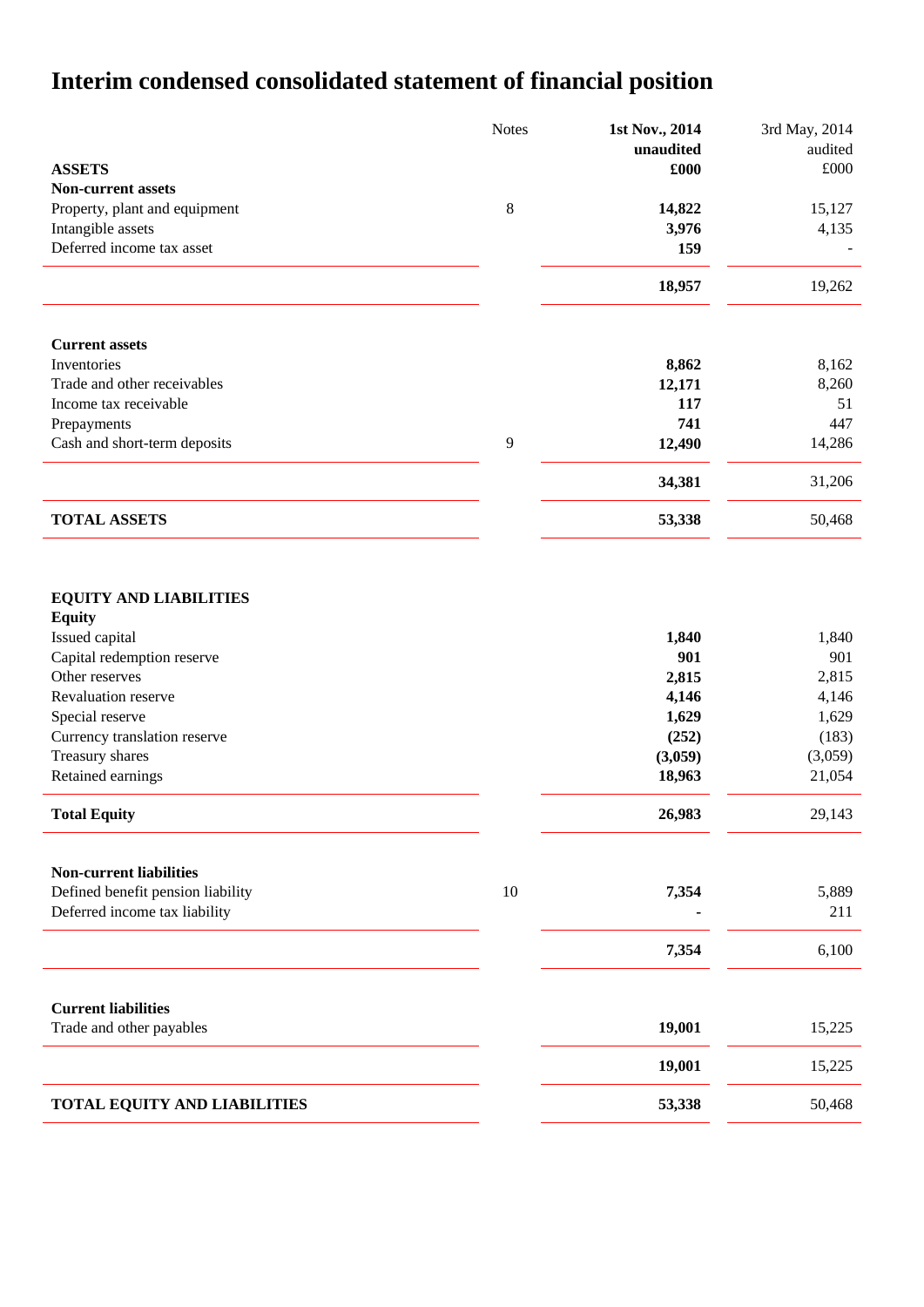# **Interim condensed consolidated statement of financial position**

|                                                                                                                                                                                                                                                           | <b>Notes</b> | 1st Nov., 2014<br>unaudited                                                     | 3rd May, 2014<br>audited                                                        |
|-----------------------------------------------------------------------------------------------------------------------------------------------------------------------------------------------------------------------------------------------------------|--------------|---------------------------------------------------------------------------------|---------------------------------------------------------------------------------|
| <b>ASSETS</b>                                                                                                                                                                                                                                             |              | £000                                                                            | £000                                                                            |
| Non-current assets                                                                                                                                                                                                                                        |              |                                                                                 |                                                                                 |
| Property, plant and equipment                                                                                                                                                                                                                             | $\,8\,$      | 14,822                                                                          | 15,127                                                                          |
| Intangible assets                                                                                                                                                                                                                                         |              | 3,976                                                                           | 4,135                                                                           |
| Deferred income tax asset                                                                                                                                                                                                                                 |              | 159                                                                             |                                                                                 |
|                                                                                                                                                                                                                                                           |              | 18,957                                                                          | 19,262                                                                          |
| <b>Current assets</b>                                                                                                                                                                                                                                     |              |                                                                                 |                                                                                 |
| Inventories                                                                                                                                                                                                                                               |              | 8,862                                                                           | 8,162                                                                           |
| Trade and other receivables                                                                                                                                                                                                                               |              | 12,171                                                                          | 8,260                                                                           |
| Income tax receivable                                                                                                                                                                                                                                     |              | 117                                                                             | 51                                                                              |
| Prepayments                                                                                                                                                                                                                                               |              | 741                                                                             | 447                                                                             |
| Cash and short-term deposits                                                                                                                                                                                                                              | 9            | 12,490                                                                          | 14,286                                                                          |
|                                                                                                                                                                                                                                                           |              | 34,381                                                                          | 31,206                                                                          |
| <b>TOTAL ASSETS</b>                                                                                                                                                                                                                                       |              | 53,338                                                                          | 50,468                                                                          |
| <b>EQUITY AND LIABILITIES</b><br><b>Equity</b><br>Issued capital<br>Capital redemption reserve<br>Other reserves<br>Revaluation reserve<br>Special reserve<br>Currency translation reserve<br>Treasury shares<br>Retained earnings<br><b>Total Equity</b> |              | 1,840<br>901<br>2,815<br>4,146<br>1,629<br>(252)<br>(3,059)<br>18,963<br>26,983 | 1,840<br>901<br>2,815<br>4,146<br>1,629<br>(183)<br>(3,059)<br>21,054<br>29,143 |
|                                                                                                                                                                                                                                                           |              |                                                                                 |                                                                                 |
| <b>Non-current liabilities</b><br>Defined benefit pension liability<br>Deferred income tax liability                                                                                                                                                      | 10           | 7,354                                                                           | 5,889<br>211                                                                    |
|                                                                                                                                                                                                                                                           |              | 7,354                                                                           | 6,100                                                                           |
|                                                                                                                                                                                                                                                           |              |                                                                                 |                                                                                 |
| <b>Current liabilities</b><br>Trade and other payables                                                                                                                                                                                                    |              | 19,001                                                                          | 15,225                                                                          |
|                                                                                                                                                                                                                                                           |              | 19,001                                                                          | 15,225                                                                          |
| TOTAL EQUITY AND LIABILITIES                                                                                                                                                                                                                              |              | 53,338                                                                          | 50,468                                                                          |
|                                                                                                                                                                                                                                                           |              |                                                                                 |                                                                                 |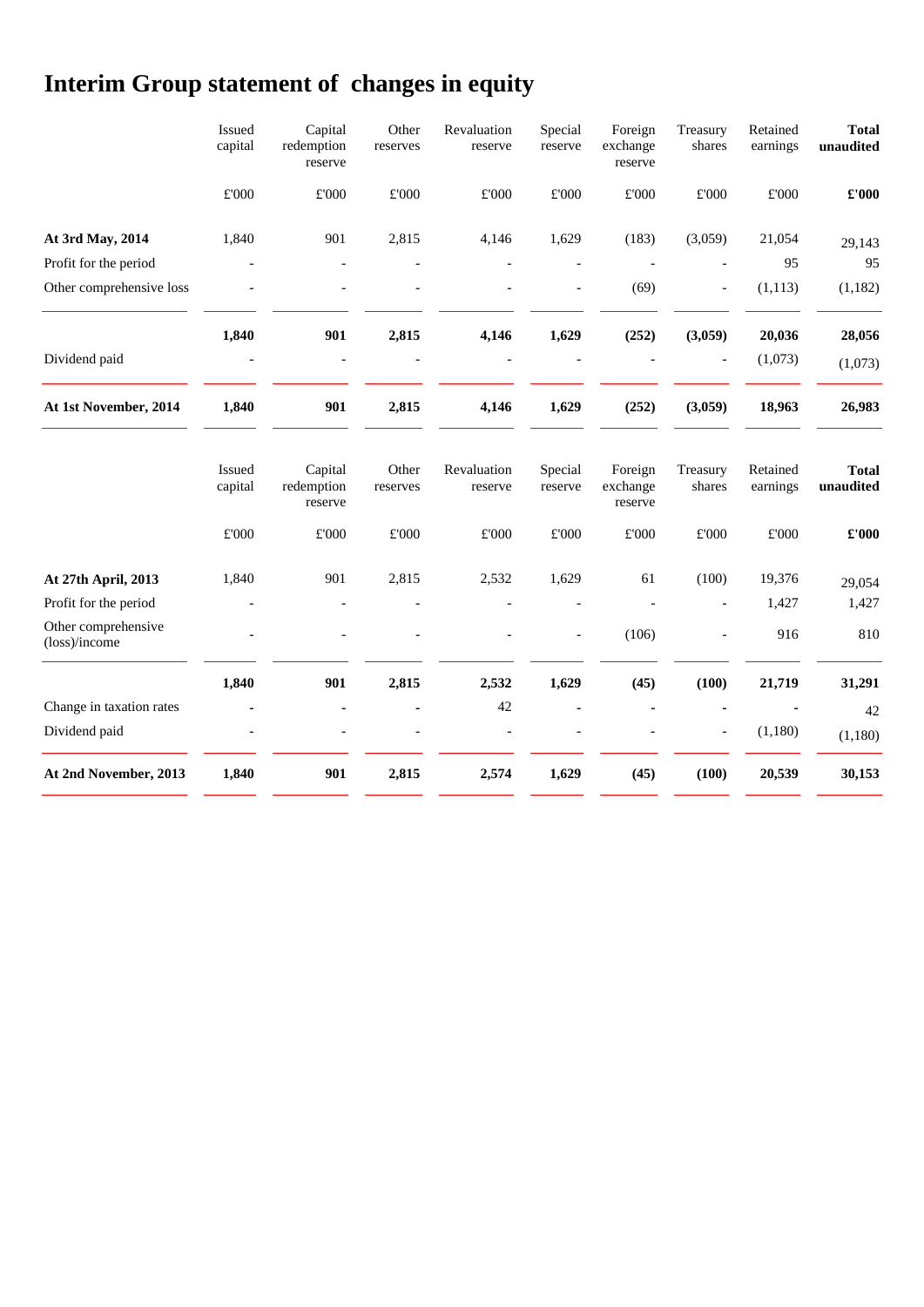# **Interim Group statement of changes in equity**

|                                      | Issued<br>capital | Capital<br>redemption<br>reserve | Other<br>reserves        | Revaluation<br>reserve | Special<br>reserve | Foreign<br>exchange<br>reserve | Treasury<br>shares       | Retained<br>earnings | <b>Total</b><br>unaudited |
|--------------------------------------|-------------------|----------------------------------|--------------------------|------------------------|--------------------|--------------------------------|--------------------------|----------------------|---------------------------|
|                                      | £'000             | $\pounds 000$                    | $\pounds 000$            | $\pounds 000$          | $\pounds 000$      | $\pounds 000$                  | £'000                    | $\pounds 000$        | £'000                     |
| At 3rd May, 2014                     | 1,840             | 901                              | 2,815                    | 4,146                  | 1,629              | (183)                          | (3,059)                  | 21,054               | 29,143                    |
| Profit for the period                |                   |                                  |                          |                        |                    |                                |                          | 95                   | 95                        |
| Other comprehensive loss             |                   | $\overline{\phantom{a}}$         | $\overline{\phantom{a}}$ |                        | $\overline{a}$     | (69)                           | $\overline{\phantom{a}}$ | (1, 113)             | (1,182)                   |
|                                      | 1,840             | 901                              | 2,815                    | 4,146                  | 1,629              | (252)                          | (3,059)                  | 20,036               | 28,056                    |
| Dividend paid                        |                   |                                  |                          |                        |                    |                                | $\overline{a}$           | (1,073)              | (1,073)                   |
| At 1st November, 2014                | 1,840             | 901                              | 2,815                    | 4,146                  | 1,629              | (252)                          | (3,059)                  | 18,963               | 26,983                    |
|                                      | Issued<br>capital | Capital<br>redemption<br>reserve | Other<br>reserves        | Revaluation<br>reserve | Special<br>reserve | Foreign<br>exchange<br>reserve | Treasury<br>shares       | Retained<br>earnings | <b>Total</b><br>unaudited |
|                                      | $\pounds 000$     | $\pounds 000$                    | $\pounds 000$            | $\pounds 000$          | $\pounds 000$      | $\pounds 000$                  | £'000                    | $\pounds 000$        | $\pounds 000$             |
| At 27th April, 2013                  | 1,840             | 901                              | 2,815                    | 2,532                  | 1,629              | 61                             | (100)                    | 19,376               | 29,054                    |
| Profit for the period                |                   |                                  |                          |                        |                    |                                |                          | 1,427                | 1,427                     |
| Other comprehensive<br>(loss)/income |                   |                                  |                          |                        | $\overline{a}$     | (106)                          | $\overline{a}$           | 916                  | 810                       |
|                                      | 1,840             | 901                              | 2,815                    | 2,532                  | 1,629              | (45)                           | (100)                    | 21,719               | 31,291                    |
| Change in taxation rates             |                   |                                  |                          | 42                     | $\blacksquare$     |                                |                          |                      | 42                        |
| Dividend paid                        |                   |                                  |                          |                        |                    |                                | $\overline{a}$           | (1,180)              | (1,180)                   |
| At 2nd November, 2013                | 1,840             | 901                              | 2,815                    | 2,574                  | 1,629              | (45)                           | (100)                    | 20,539               | 30,153                    |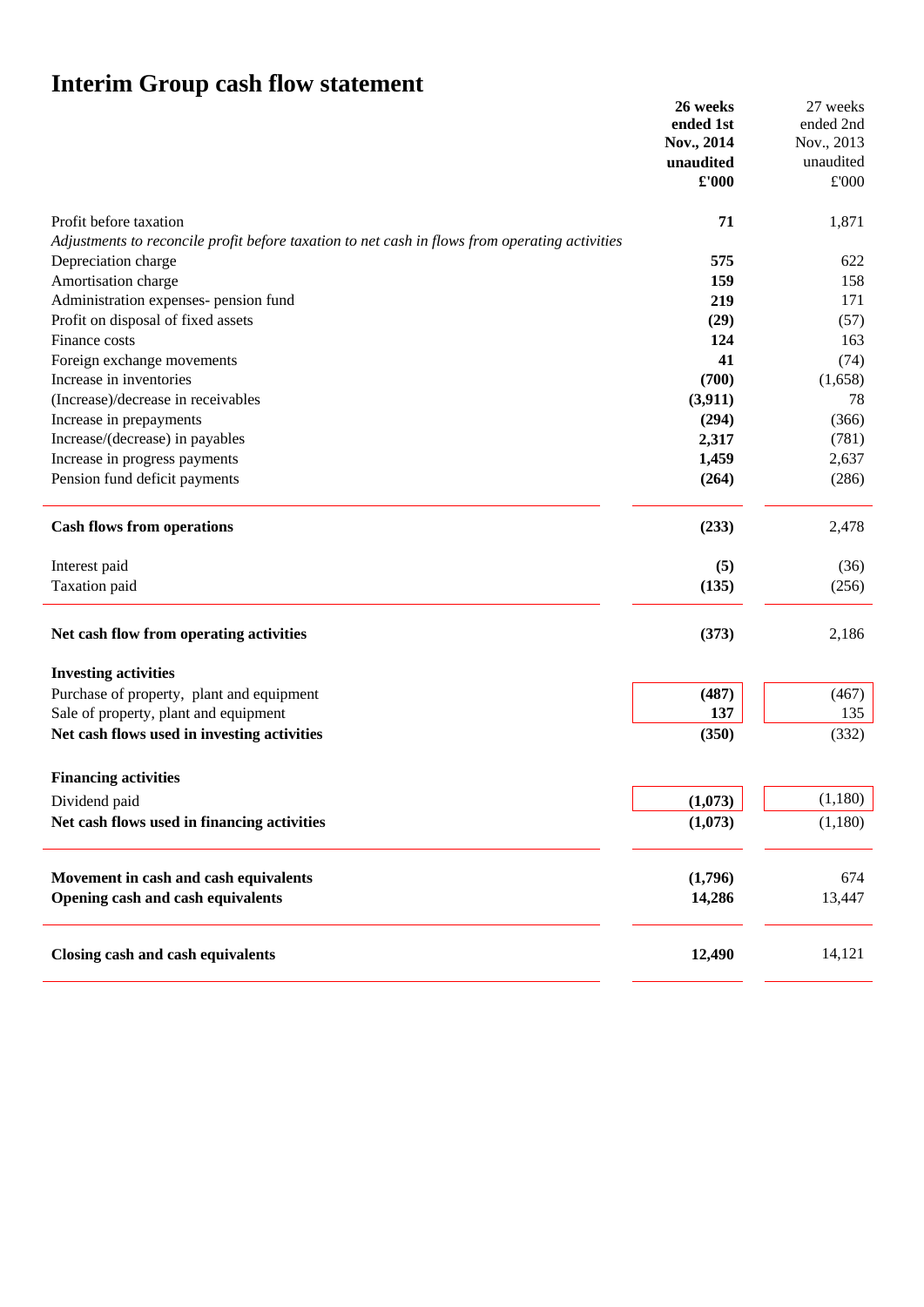# **Interim Group cash flow statement**

|                                                                                                | 26 weeks   | 27 weeks      |
|------------------------------------------------------------------------------------------------|------------|---------------|
|                                                                                                | ended 1st  | ended 2nd     |
|                                                                                                | Nov., 2014 | Nov., 2013    |
|                                                                                                | unaudited  | unaudited     |
|                                                                                                | £'000      | $\pounds 000$ |
| Profit before taxation                                                                         | 71         | 1,871         |
| Adjustments to reconcile profit before taxation to net cash in flows from operating activities |            |               |
| Depreciation charge                                                                            | 575        | 622           |
| Amortisation charge                                                                            | 159        | 158           |
| Administration expenses- pension fund                                                          | 219        | 171           |
| Profit on disposal of fixed assets                                                             | (29)       | (57)          |
| Finance costs                                                                                  | 124        | 163           |
| Foreign exchange movements                                                                     | 41         | (74)          |
| Increase in inventories                                                                        | (700)      | (1,658)       |
| (Increase)/decrease in receivables                                                             | (3,911)    | 78            |
| Increase in prepayments                                                                        | (294)      | (366)         |
| Increase/(decrease) in payables                                                                | 2,317      | (781)         |
| Increase in progress payments                                                                  | 1,459      | 2,637         |
| Pension fund deficit payments                                                                  | (264)      | (286)         |
| <b>Cash flows from operations</b>                                                              | (233)      | 2,478         |
| Interest paid                                                                                  | (5)        | (36)          |
| Taxation paid                                                                                  | (135)      | (256)         |
| Net cash flow from operating activities                                                        | (373)      | 2,186         |
| <b>Investing activities</b>                                                                    |            |               |
| Purchase of property, plant and equipment                                                      | (487)      | (467)         |
| Sale of property, plant and equipment                                                          | 137        | 135           |
| Net cash flows used in investing activities                                                    | (350)      | (332)         |
| <b>Financing activities</b>                                                                    |            |               |
| Dividend paid                                                                                  | (1,073)    | (1,180)       |
| Net cash flows used in financing activities                                                    | (1,073)    | (1,180)       |
|                                                                                                |            |               |
| Movement in cash and cash equivalents                                                          | (1,796)    | 674           |
| Opening cash and cash equivalents                                                              | 14,286     | 13,447        |
| Closing cash and cash equivalents                                                              | 12,490     | 14,121        |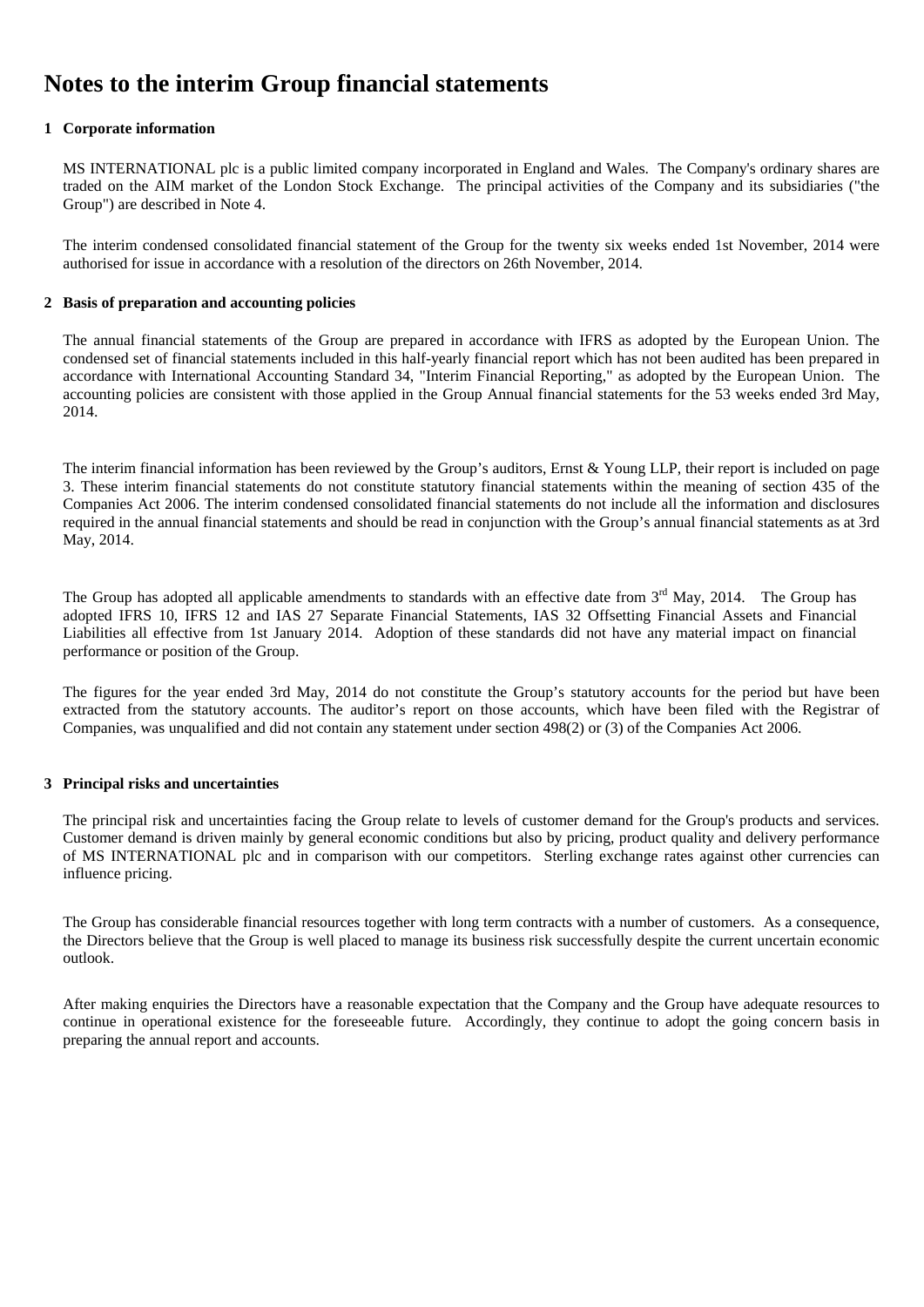## **Notes to the interim Group financial statements**

#### **1 Corporate information**

MS INTERNATIONAL plc is a public limited company incorporated in England and Wales. The Company's ordinary shares are traded on the AIM market of the London Stock Exchange. The principal activities of the Company and its subsidiaries ("the Group") are described in Note 4.

The interim condensed consolidated financial statement of the Group for the twenty six weeks ended 1st November, 2014 were authorised for issue in accordance with a resolution of the directors on 26th November, 2014.

#### **2 Basis of preparation and accounting policies**

The annual financial statements of the Group are prepared in accordance with IFRS as adopted by the European Union. The condensed set of financial statements included in this half-yearly financial report which has not been audited has been prepared in accordance with International Accounting Standard 34, "Interim Financial Reporting," as adopted by the European Union. The accounting policies are consistent with those applied in the Group Annual financial statements for the 53 weeks ended 3rd May, 2014.

The interim financial information has been reviewed by the Group's auditors, Ernst & Young LLP, their report is included on page 3. These interim financial statements do not constitute statutory financial statements within the meaning of section 435 of the Companies Act 2006. The interim condensed consolidated financial statements do not include all the information and disclosures required in the annual financial statements and should be read in conjunction with the Group's annual financial statements as at 3rd May, 2014.

The Group has adopted all applicable amendments to standards with an effective date from  $3<sup>rd</sup>$  May, 2014. The Group has adopted IFRS 10, IFRS 12 and IAS 27 Separate Financial Statements, IAS 32 Offsetting Financial Assets and Financial Liabilities all effective from 1st January 2014. Adoption of these standards did not have any material impact on financial performance or position of the Group.

The figures for the year ended 3rd May, 2014 do not constitute the Group's statutory accounts for the period but have been extracted from the statutory accounts. The auditor's report on those accounts, which have been filed with the Registrar of Companies, was unqualified and did not contain any statement under section 498(2) or (3) of the Companies Act 2006.

#### **3 Principal risks and uncertainties**

The principal risk and uncertainties facing the Group relate to levels of customer demand for the Group's products and services. Customer demand is driven mainly by general economic conditions but also by pricing, product quality and delivery performance of MS INTERNATIONAL plc and in comparison with our competitors. Sterling exchange rates against other currencies can influence pricing.

The Group has considerable financial resources together with long term contracts with a number of customers. As a consequence, the Directors believe that the Group is well placed to manage its business risk successfully despite the current uncertain economic outlook.

After making enquiries the Directors have a reasonable expectation that the Company and the Group have adequate resources to continue in operational existence for the foreseeable future. Accordingly, they continue to adopt the going concern basis in preparing the annual report and accounts.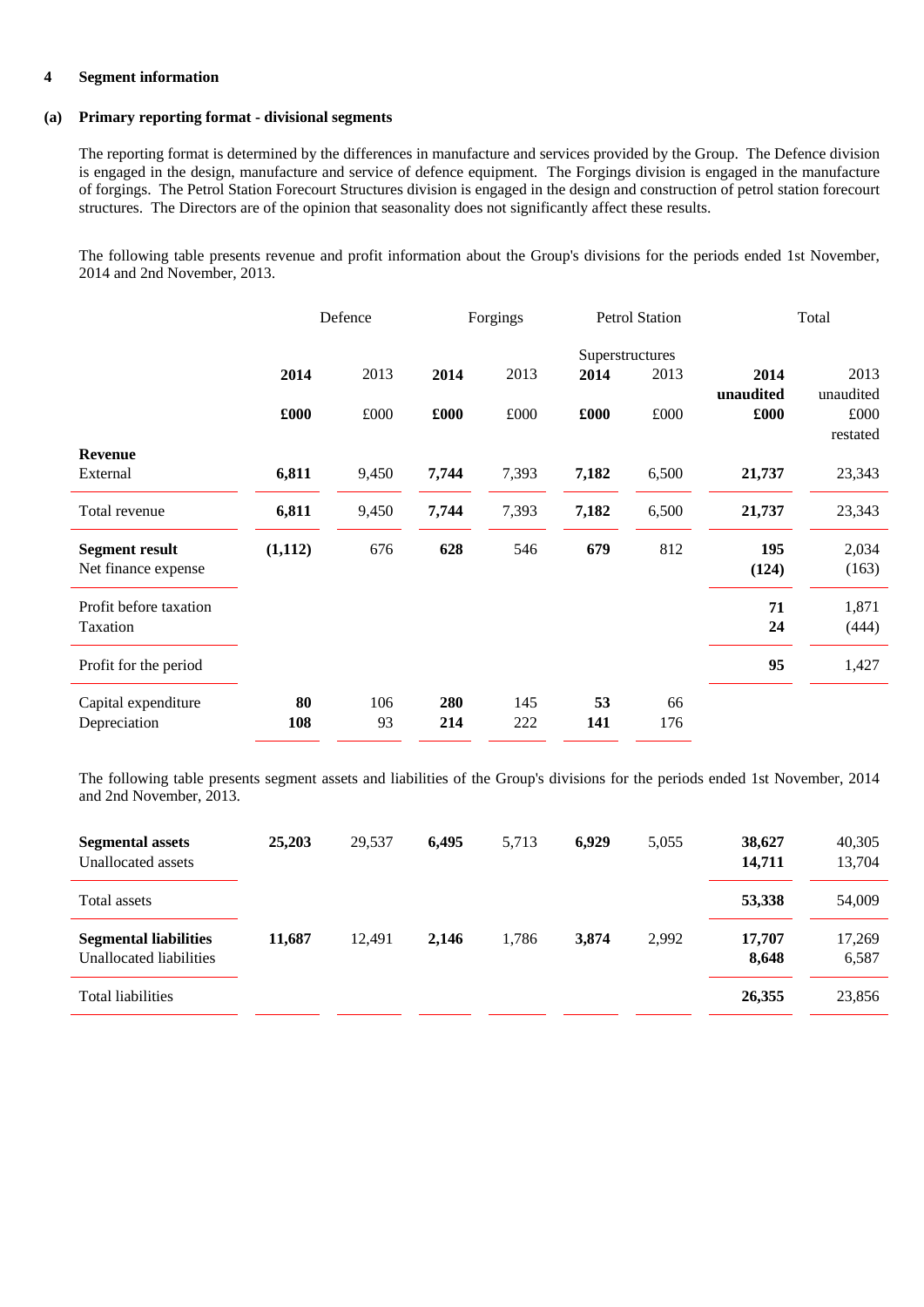#### **4 Segment information**

#### **(a) Primary reporting format - divisional segments**

The reporting format is determined by the differences in manufacture and services provided by the Group. The Defence division is engaged in the design, manufacture and service of defence equipment. The Forgings division is engaged in the manufacture of forgings. The Petrol Station Forecourt Structures division is engaged in the design and construction of petrol station forecourt structures. The Directors are of the opinion that seasonality does not significantly affect these results.

The following table presents revenue and profit information about the Group's divisions for the periods ended 1st November, 2014 and 2nd November, 2013.

|                        | Defence  |       | Forgings |       | <b>Petrol Station</b> |       | Total             |                   |
|------------------------|----------|-------|----------|-------|-----------------------|-------|-------------------|-------------------|
|                        |          |       |          |       | Superstructures       |       |                   |                   |
|                        | 2014     | 2013  | 2014     | 2013  | 2014                  | 2013  | 2014<br>unaudited | 2013<br>unaudited |
|                        | £000     | £000  | £000     | £000  | £000                  | £000  | £000              | £000<br>restated  |
| <b>Revenue</b>         |          |       |          |       |                       |       |                   |                   |
| External               | 6,811    | 9,450 | 7,744    | 7,393 | 7,182                 | 6,500 | 21,737            | 23,343            |
| Total revenue          | 6,811    | 9,450 | 7,744    | 7,393 | 7,182                 | 6,500 | 21,737            | 23,343            |
| <b>Segment result</b>  | (1, 112) | 676   | 628      | 546   | 679                   | 812   | 195               | 2,034             |
| Net finance expense    |          |       |          |       |                       |       | (124)             | (163)             |
| Profit before taxation |          |       |          |       |                       |       | 71                | 1,871             |
| Taxation               |          |       |          |       |                       |       | 24                | (444)             |
| Profit for the period  |          |       |          |       |                       |       | 95                | 1,427             |
| Capital expenditure    | 80       | 106   | 280      | 145   | 53                    | 66    |                   |                   |
| Depreciation           | 108      | 93    | 214      | 222   | 141                   | 176   |                   |                   |

The following table presents segment assets and liabilities of the Group's divisions for the periods ended 1st November, 2014 and 2nd November, 2013.

| <b>Segmental assets</b><br>Unallocated assets           | 25,203 | 29,537 | 6,495 | 5,713 | 6,929 | 5,055 | 38,627<br>14,711 | 40,305<br>13,704 |
|---------------------------------------------------------|--------|--------|-------|-------|-------|-------|------------------|------------------|
| Total assets                                            |        |        |       |       |       |       | 53,338           | 54,009           |
| <b>Segmental liabilities</b><br>Unallocated liabilities | 11.687 | 12.491 | 2.146 | 1,786 | 3,874 | 2,992 | 17,707<br>8,648  | 17,269<br>6,587  |
| <b>Total liabilities</b>                                |        |        |       |       |       |       | 26,355           | 23,856           |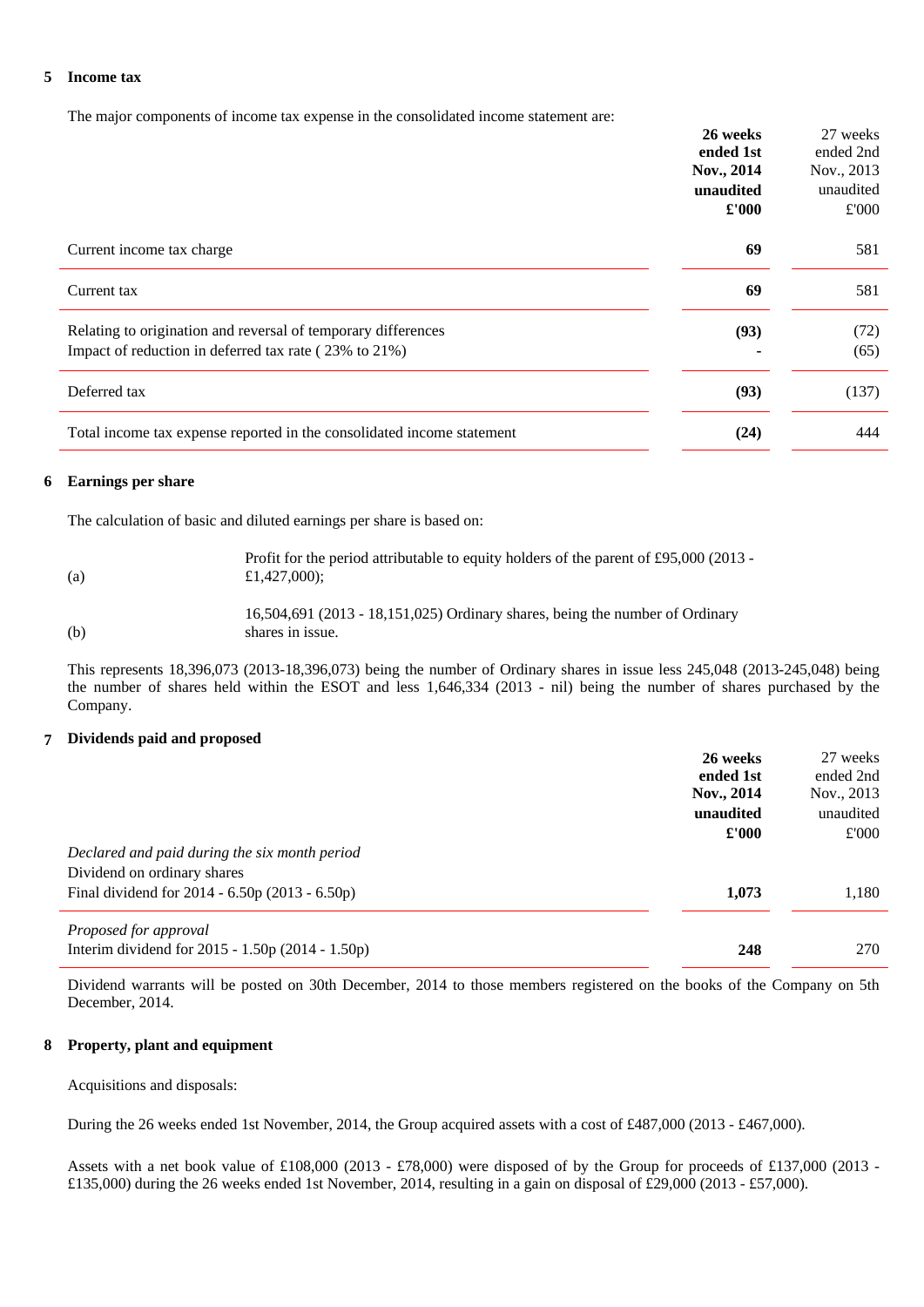#### **5 Income tax**

The major components of income tax expense in the consolidated income statement are:

|                                                                        | 26 weeks      | 27 weeks   |
|------------------------------------------------------------------------|---------------|------------|
|                                                                        | ended 1st     | ended 2nd  |
|                                                                        | Nov., 2014    | Nov., 2013 |
|                                                                        | unaudited     | unaudited  |
|                                                                        | $\pounds 000$ | £'000      |
| Current income tax charge                                              | 69            | 581        |
| Current tax                                                            | 69            | 581        |
| Relating to origination and reversal of temporary differences          | (93)          | (72)       |
| Impact of reduction in deferred tax rate (23% to 21%)                  |               | (65)       |
| Deferred tax                                                           | (93)          | (137)      |
| Total income tax expense reported in the consolidated income statement | (24)          | 444        |

#### **6 Earnings per share**

The calculation of basic and diluted earnings per share is based on:

Profit for the period attributable to equity holders of the parent of £95,000 (2013 - £1,427,000);

(a)

(b) 16,504,691 (2013 - 18,151,025) Ordinary shares, being the number of Ordinary shares in issue.

This represents 18,396,073 (2013-18,396,073) being the number of Ordinary shares in issue less 245,048 (2013-245,048) being the number of shares held within the ESOT and less 1,646,334 (2013 - nil) being the number of shares purchased by the Company.

#### **7 Dividends paid and proposed**

|                                                   | 26 weeks      | 27 weeks   |
|---------------------------------------------------|---------------|------------|
|                                                   | ended 1st     | ended 2nd  |
|                                                   | Nov., 2014    | Nov., 2013 |
|                                                   | unaudited     | unaudited  |
|                                                   | $\pounds 000$ | £'000      |
| Declared and paid during the six month period     |               |            |
| Dividend on ordinary shares                       |               |            |
| Final dividend for $2014 - 6.50p(2013 - 6.50p)$   | 1,073         | 1,180      |
| Proposed for approval                             |               |            |
| Interim dividend for $2015 - 1.50p(2014 - 1.50p)$ | 248           | 270        |

Dividend warrants will be posted on 30th December, 2014 to those members registered on the books of the Company on 5th December, 2014.

#### **8 Property, plant and equipment**

Acquisitions and disposals:

During the 26 weeks ended 1st November, 2014, the Group acquired assets with a cost of £487,000 (2013 - £467,000).

Assets with a net book value of  $\text{\pounds}108,000$  (2013 -  $\text{\pounds}78,000$ ) were disposed of by the Group for proceeds of £137,000 (2013 -£135,000) during the 26 weeks ended 1st November, 2014, resulting in a gain on disposal of £29,000 (2013 - £57,000).